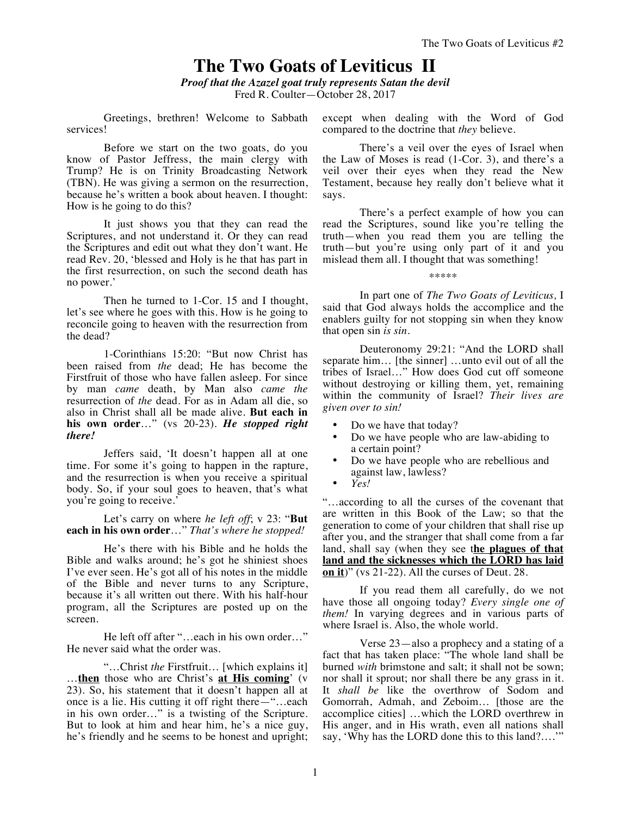## **The Two Goats of Leviticus II**

*Proof that the Azazel goat truly represents Satan the devil* Fred R. Coulter—October 28, 2017

Greetings, brethren! Welcome to Sabbath services!

Before we start on the two goats, do you know of Pastor Jeffress, the main clergy with Trump? He is on Trinity Broadcasting Network (TBN). He was giving a sermon on the resurrection, because he's written a book about heaven. I thought: How is he going to do this?

It just shows you that they can read the Scriptures, and not understand it. Or they can read the Scriptures and edit out what they don't want. He read Rev. 20, 'blessed and Holy is he that has part in the first resurrection, on such the second death has no power.'

Then he turned to 1-Cor. 15 and I thought, let's see where he goes with this. How is he going to reconcile going to heaven with the resurrection from the dead?

1-Corinthians 15:20: "But now Christ has been raised from *the* dead; He has become the Firstfruit of those who have fallen asleep. For since by man *came* death, by Man also *came the* resurrection of *the* dead. For as in Adam all die, so also in Christ shall all be made alive. **But each in his own order**…" (vs 20-23). *He stopped right there!*

Jeffers said, 'It doesn't happen all at one time. For some it's going to happen in the rapture, and the resurrection is when you receive a spiritual body. So, if your soul goes to heaven, that's what you're going to receive.'

Let's carry on where *he left off*; v 23: "**But each in his own order**…" *That's where he stopped!*

He's there with his Bible and he holds the Bible and walks around; he's got he shiniest shoes I've ever seen. He's got all of his notes in the middle of the Bible and never turns to any Scripture, because it's all written out there. With his half-hour program, all the Scriptures are posted up on the screen.

He left off after "…each in his own order…" He never said what the order was.

"…Christ *the* Firstfruit… [which explains it] …**then** those who are Christ's **at His coming**' (v 23). So, his statement that it doesn't happen all at once is a lie. His cutting it off right there—"…each in his own order…" is a twisting of the Scripture. But to look at him and hear him, he's a nice guy, he's friendly and he seems to be honest and upright; except when dealing with the Word of God compared to the doctrine that *they* believe.

There's a veil over the eyes of Israel when the Law of Moses is read (1-Cor. 3), and there's a veil over their eyes when they read the New Testament, because hey really don't believe what it says.

There's a perfect example of how you can read the Scriptures, sound like you're telling the truth—when you read them you are telling the truth—but you're using only part of it and you mislead them all. I thought that was something!

\*\*\*\*\*

In part one of *The Two Goats of Leviticus,* I said that God always holds the accomplice and the enablers guilty for not stopping sin when they know that open sin *is sin.*

Deuteronomy 29:21: "And the LORD shall separate him… [the sinner] …unto evil out of all the tribes of Israel…" How does God cut off someone without destroying or killing them, yet, remaining within the community of Israel? *Their lives are given over to sin!*

- Do we have that today?
- Do we have people who are law-abiding to a certain point?
- Do we have people who are rebellious and against law, lawless?
- *Yes!*

"…according to all the curses of the covenant that are written in this Book of the Law; so that the generation to come of your children that shall rise up after you, and the stranger that shall come from a far land, shall say (when they see the plagues of that **land and the sicknesses which the LORD has laid on it**)" (vs 21-22). All the curses of Deut. 28.

If you read them all carefully, do we not have those all ongoing today? *Every single one of them!* In varying degrees and in various parts of where Israel is. Also, the whole world.

Verse 23—also a prophecy and a stating of a fact that has taken place: "The whole land shall be burned *with* brimstone and salt; it shall not be sown; nor shall it sprout; nor shall there be any grass in it. It *shall be* like the overthrow of Sodom and Gomorrah, Admah, and Zeboim… [those are the accomplice cities] …which the LORD overthrew in His anger, and in His wrath, even all nations shall say, 'Why has the LORD done this to this land?….'"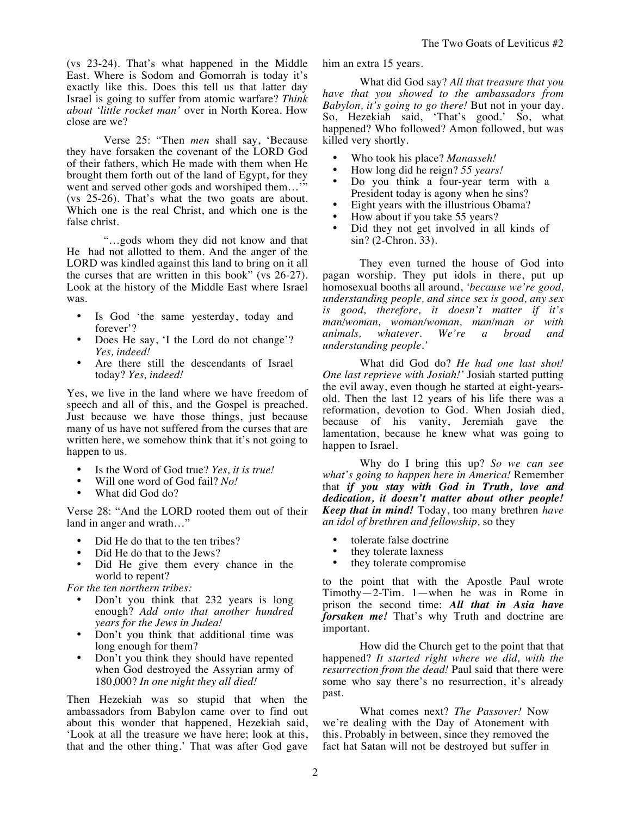(vs 23-24). That's what happened in the Middle East. Where is Sodom and Gomorrah is today it's exactly like this. Does this tell us that latter day Israel is going to suffer from atomic warfare? *Think about 'little rocket man'* over in North Korea. How close are we?

Verse 25: "Then *men* shall say, 'Because they have forsaken the covenant of the LORD God of their fathers, which He made with them when He brought them forth out of the land of Egypt, for they went and served other gods and worshiped them..." (vs 25-26). That's what the two goats are about. Which one is the real Christ, and which one is the false christ.

"…gods whom they did not know and that He had not allotted to them. And the anger of the LORD was kindled against this land to bring on it all the curses that are written in this book" (vs 26-27). Look at the history of the Middle East where Israel was.

- Is God 'the same yesterday, today and forever'?
- Does He say, 'I the Lord do not change'? *Yes, indeed!*
- Are there still the descendants of Israel today? *Yes, indeed!*

Yes, we live in the land where we have freedom of speech and all of this, and the Gospel is preached. Just because we have those things, just because many of us have not suffered from the curses that are written here, we somehow think that it's not going to happen to us.

- Is the Word of God true? *Yes, it is true!*
- Will one word of God fail? *No!*
- What did God do?

Verse 28: "And the LORD rooted them out of their land in anger and wrath…"

- Did He do that to the ten tribes?
- Did He do that to the Jews?
- Did He give them every chance in the world to repent?

*For the ten northern tribes:*

- Don't you think that 232 years is long enough? *Add onto that another hundred years for the Jews in Judea!*
- Don't you think that additional time was long enough for them?
- Don't you think they should have repented when God destroyed the Assyrian army of 180,000? *In one night they all died!*

Then Hezekiah was so stupid that when the ambassadors from Babylon came over to find out about this wonder that happened, Hezekiah said, 'Look at all the treasure we have here; look at this, that and the other thing.' That was after God gave him an extra 15 years.

What did God say? *All that treasure that you have that you showed to the ambassadors from Babylon, it's going to go there!* But not in your day. So, Hezekiah said, 'That's good.' So, what happened? Who followed? Amon followed, but was killed very shortly.

- Who took his place? *Manasseh!*
- How long did he reign? *55 years!*
- Do you think a four-year term with a President today is agony when he sins?
- Eight years with the illustrious Obama?
- How about if you take 55 years?
- Did they not get involved in all kinds of sin? (2-Chron. 33).

They even turned the house of God into pagan worship. They put idols in there, put up homosexual booths all around, *'because we're good, understanding people, and since sex is good, any sex is good, therefore, it doesn't matter if it's man/woman, woman/woman, man/man or with whatever. understanding people.'*

What did God do? *He had one last shot! One last reprieve with Josiah!'* Josiah started putting the evil away, even though he started at eight-yearsold. Then the last 12 years of his life there was a reformation, devotion to God. When Josiah died, because of his vanity, Jeremiah gave the lamentation, because he knew what was going to happen to Israel.

Why do I bring this up? *So we can see what's going to happen here in America!* Remember that *if you stay with God in Truth, love and dedication, it doesn't matter about other people! Keep that in mind!* Today, too many brethren *have an idol of brethren and fellowship,* so they

- tolerate false doctrine
- they tolerate laxness
- they tolerate compromise

to the point that with the Apostle Paul wrote Timothy—2-Tim. 1—when he was in Rome in prison the second time: *All that in Asia have forsaken me!* That's why Truth and doctrine are important.

How did the Church get to the point that that happened? *It started right where we did, with the resurrection from the dead!* Paul said that there were some who say there's no resurrection, it's already past.

What comes next? *The Passover!* Now we're dealing with the Day of Atonement with this. Probably in between, since they removed the fact hat Satan will not be destroyed but suffer in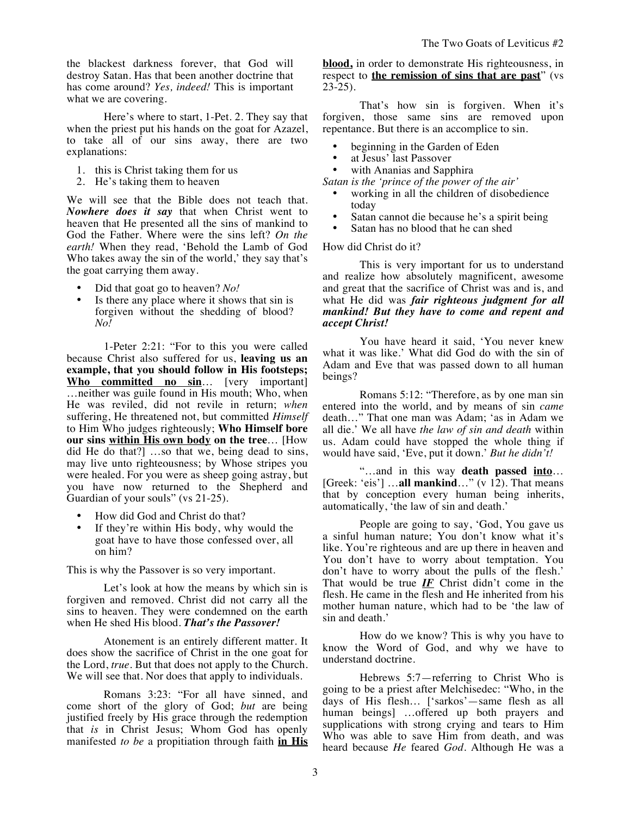the blackest darkness forever, that God will destroy Satan. Has that been another doctrine that has come around? *Yes, indeed!* This is important what we are covering.

Here's where to start, 1-Pet. 2. They say that when the priest put his hands on the goat for Azazel, to take all of our sins away, there are two explanations:

- 1. this is Christ taking them for us
- 2. He's taking them to heaven

We will see that the Bible does not teach that. *Nowhere does it say* that when Christ went to heaven that He presented all the sins of mankind to God the Father. Where were the sins left? *On the earth!* When they read, 'Behold the Lamb of God Who takes away the sin of the world,' they say that's the goat carrying them away.

- Did that goat go to heaven? *No!*
- Is there any place where it shows that sin is forgiven without the shedding of blood? *No!*

1-Peter 2:21: "For to this you were called because Christ also suffered for us, **leaving us an example, that you should follow in His footsteps; Who committed no sin**… [very important] …neither was guile found in His mouth; Who, when He was reviled, did not revile in return; *when* suffering, He threatened not, but committed *Himself* to Him Who judges righteously; **Who Himself bore our sins within His own body on the tree**… [How did He do that?] …so that we, being dead to sins, may live unto righteousness; by Whose stripes you were healed. For you were as sheep going astray, but you have now returned to the Shepherd and Guardian of your souls" (vs 21-25).

- How did God and Christ do that?
- If they're within His body, why would the goat have to have those confessed over, all on him?

This is why the Passover is so very important.

Let's look at how the means by which sin is forgiven and removed. Christ did not carry all the sins to heaven. They were condemned on the earth when He shed His blood. *That's the Passover!*

Atonement is an entirely different matter. It does show the sacrifice of Christ in the one goat for the Lord, *true.* But that does not apply to the Church. We will see that. Nor does that apply to individuals.

Romans 3:23: "For all have sinned, and come short of the glory of God; *but* are being justified freely by His grace through the redemption that *is* in Christ Jesus; Whom God has openly manifested *to be* a propitiation through faith **in His**  **blood,** in order to demonstrate His righteousness, in respect to **the remission of sins that are past**" (vs  $23-25$ ).

That's how sin is forgiven. When it's forgiven, those same sins are removed upon repentance. But there is an accomplice to sin.

- beginning in the Garden of Eden
- at Jesus' last Passover
- with Ananias and Sapphira
- *Satan is the 'prince of the power of the air'* 
	- working in all the children of disobedience today
	- Satan cannot die because he's a spirit being
	- Satan has no blood that he can shed

How did Christ do it?

This is very important for us to understand and realize how absolutely magnificent, awesome and great that the sacrifice of Christ was and is, and what He did was *fair righteous judgment for all mankind! But they have to come and repent and accept Christ!*

You have heard it said, 'You never knew what it was like.' What did God do with the sin of Adam and Eve that was passed down to all human beings?

Romans 5:12: "Therefore, as by one man sin entered into the world, and by means of sin *came* death…" That one man was Adam; 'as in Adam we all die.' We all have *the law of sin and death* within us. Adam could have stopped the whole thing if would have said, 'Eve, put it down.' *But he didn't!*

"…and in this way **death passed into**… [Greek: 'eis'] …**all mankind**…" (v 12). That means that by conception every human being inherits, automatically, 'the law of sin and death.'

People are going to say, 'God, You gave us a sinful human nature; You don't know what it's like. You're righteous and are up there in heaven and You don't have to worry about temptation. You don't have to worry about the pulls of the flesh.' That would be true  $I\!\!F$  Christ didn't come in the flesh. He came in the flesh and He inherited from his mother human nature, which had to be 'the law of sin and death.'

How do we know? This is why you have to know the Word of God, and why we have to understand doctrine.

Hebrews 5:7—referring to Christ Who is going to be a priest after Melchisedec: "Who, in the days of His flesh… ['sarkos'—same flesh as all human beings] …offered up both prayers and supplications with strong crying and tears to Him Who was able to save Him from death, and was heard because *He* feared *God*. Although He was a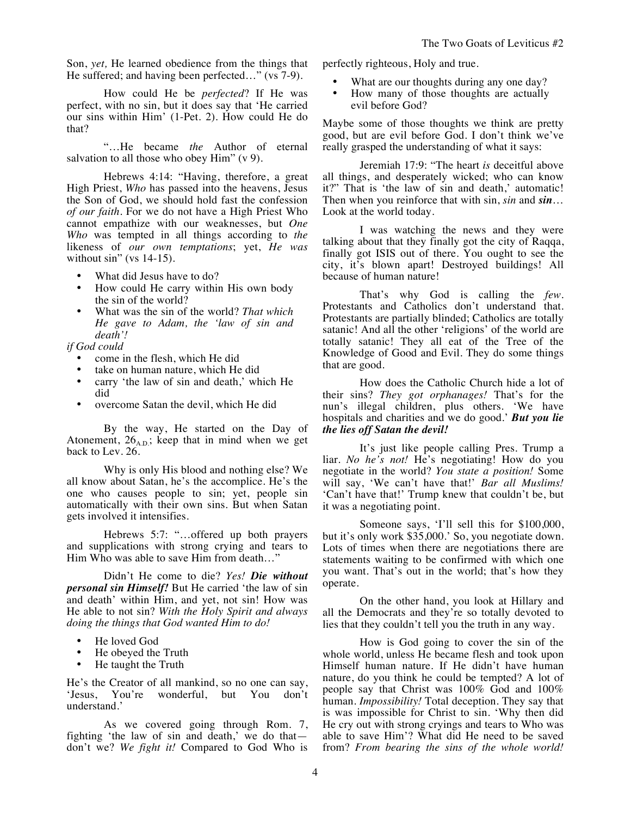Son, *yet,* He learned obedience from the things that He suffered; and having been perfected…" (vs 7-9).

How could He be *perfected*? If He was perfect, with no sin, but it does say that 'He carried our sins within Him' (1-Pet. 2). How could He do that?

"…He became *the* Author of eternal salvation to all those who obey Him" (v 9).

Hebrews 4:14: "Having, therefore, a great High Priest, *Who* has passed into the heavens, Jesus the Son of God, we should hold fast the confession *of our faith*. For we do not have a High Priest Who cannot empathize with our weaknesses, but *One Who* was tempted in all things according to *the* likeness of *our own temptations*; yet, *He was* without  $\sin$ " (vs 14-15).

- What did Jesus have to do?
- How could He carry within His own body the sin of the world?
- What was the sin of the world? *That which He gave to Adam, the 'law of sin and death'!*

*if God could*

- come in the flesh, which He did
- take on human nature, which He did
- carry 'the law of sin and death,' which He did
- overcome Satan the devil, which He did

By the way, He started on the Day of Atonement,  $26_{A,D}$ ; keep that in mind when we get back to Lev. 26.

Why is only His blood and nothing else? We all know about Satan, he's the accomplice. He's the one who causes people to sin; yet, people sin automatically with their own sins. But when Satan gets involved it intensifies.

Hebrews 5:7: "…offered up both prayers and supplications with strong crying and tears to Him Who was able to save Him from death…"

Didn't He come to die? *Yes! Die without personal sin Himself!* But He carried 'the law of sin and death' within Him, and yet, not sin! How was He able to not sin? *With the Holy Spirit and always doing the things that God wanted Him to do!* 

- He loved God
- He obeyed the Truth
- He taught the Truth

He's the Creator of all mankind, so no one can say, 'Jesus, You're wonderful, but You don't understand.'

As we covered going through Rom. 7, fighting 'the law of sin and death,' we do that don't we? *We fight it!* Compared to God Who is perfectly righteous, Holy and true.

- What are our thoughts during any one day?
- How many of those thoughts are actually evil before God?

Maybe some of those thoughts we think are pretty good, but are evil before God. I don't think we've really grasped the understanding of what it says:

Jeremiah 17:9: "The heart *is* deceitful above all things, and desperately wicked; who can know it?" That is 'the law of sin and death,' automatic! Then when you reinforce that with sin, *sin* and *sin*… Look at the world today.

I was watching the news and they were talking about that they finally got the city of Raqqa, finally got ISIS out of there. You ought to see the city, it's blown apart! Destroyed buildings! All because of human nature!

That's why God is calling the *few.* Protestants and Catholics don't understand that. Protestants are partially blinded; Catholics are totally satanic! And all the other 'religions' of the world are totally satanic! They all eat of the Tree of the Knowledge of Good and Evil. They do some things that are good.

How does the Catholic Church hide a lot of their sins? *They got orphanages!* That's for the nun's illegal children, plus others. 'We have hospitals and charities and we do good.' *But you lie the lies off Satan the devil!*

It's just like people calling Pres. Trump a liar. *No he's not!* He's negotiating! How do you negotiate in the world? *You state a position!* Some will say, 'We can't have that!' *Bar all Muslims!* 'Can't have that!' Trump knew that couldn't be, but it was a negotiating point.

Someone says, 'I'll sell this for \$100,000, but it's only work \$35,000.' So, you negotiate down. Lots of times when there are negotiations there are statements waiting to be confirmed with which one you want. That's out in the world; that's how they operate.

On the other hand, you look at Hillary and all the Democrats and they're so totally devoted to lies that they couldn't tell you the truth in any way.

How is God going to cover the sin of the whole world, unless He became flesh and took upon Himself human nature. If He didn't have human nature, do you think he could be tempted? A lot of people say that Christ was 100% God and 100% human. *Impossibility!* Total deception. They say that is was impossible for Christ to sin. 'Why then did He cry out with strong cryings and tears to Who was able to save Him'? What did He need to be saved from? *From bearing the sins of the whole world!*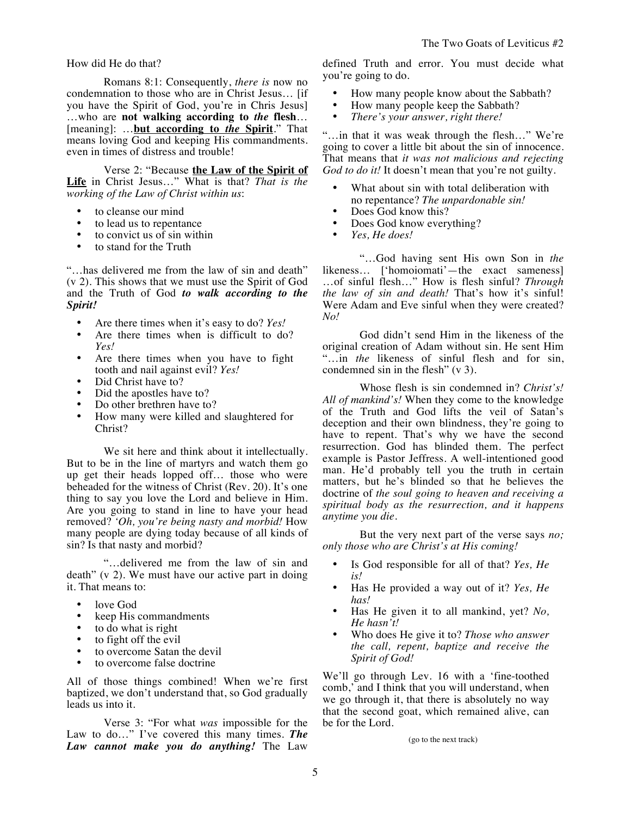How did He do that?

Romans 8:1: Consequently, *there is* now no condemnation to those who are in Christ Jesus… [if you have the Spirit of God, you're in Chris Jesus] …who are **not walking according to** *the* **flesh**… [meaning]: …**but according to** *the* **Spirit**." That means loving God and keeping His commandments. even in times of distress and trouble!

Verse 2: "Because **the Law of the Spirit of Life** in Christ Jesus…" What is that? *That is the working of the Law of Christ within us*:

- to cleanse our mind<br>• to lead us to repent
- to lead us to repentance
- to convict us of  $sin$  within
- to stand for the Truth

"…has delivered me from the law of sin and death" (v 2). This shows that we must use the Spirit of God and the Truth of God *to walk according to the Spirit!*

- Are there times when it's easy to do? *Yes!*
- Are there times when is difficult to do? *Yes!*
- Are there times when you have to fight tooth and nail against evil? *Yes!*
- Did Christ have to?
- Did the apostles have to?
- Do other brethren have to?
- How many were killed and slaughtered for Christ?

We sit here and think about it intellectually. But to be in the line of martyrs and watch them go up get their heads lopped off… those who were beheaded for the witness of Christ (Rev. 20). It's one thing to say you love the Lord and believe in Him. Are you going to stand in line to have your head removed? *'Oh, you're being nasty and morbid!* How many people are dying today because of all kinds of sin? Is that nasty and morbid?

"…delivered me from the law of sin and death" (v 2). We must have our active part in doing it. That means to:

- love God
- keep His commandments<br>•  $\frac{1}{100}$  to do what is right
- to do what is right
- to fight off the evil
- to overcome Satan the devil
- to overcome false doctrine

All of those things combined! When we're first baptized, we don't understand that, so God gradually leads us into it.

Verse 3: "For what *was* impossible for the Law to do…" I've covered this many times. *The Law cannot make you do anything!* The Law

defined Truth and error. You must decide what you're going to do.

- How many people know about the Sabbath?
- How many people keep the Sabbath?<br>• There's your answer right there!
- *There's your answer, right there!*

"…in that it was weak through the flesh…" We're going to cover a little bit about the sin of innocence. That means that *it was not malicious and rejecting God to do it!* It doesn't mean that you're not guilty.

- What about sin with total deliberation with no repentance? *The unpardonable sin!*
- Does God know this?
- Does God know everything?
- *Yes, He does!*

"…God having sent His own Son in *the* likeness… ['homoiomati'—the exact sameness] …of sinful flesh…" How is flesh sinful? *Through the law of sin and death!* That's how it's sinful! Were Adam and Eve sinful when they were created? *No!*

God didn't send Him in the likeness of the original creation of Adam without sin. He sent Him "…in *the* likeness of sinful flesh and for sin, condemned sin in the flesh" (v 3).

Whose flesh is sin condemned in? *Christ's! All of mankind's!* When they come to the knowledge of the Truth and God lifts the veil of Satan's deception and their own blindness, they're going to have to repent. That's why we have the second resurrection. God has blinded them. The perfect example is Pastor Jeffress. A well-intentioned good man. He'd probably tell you the truth in certain matters, but he's blinded so that he believes the doctrine of *the soul going to heaven and receiving a spiritual body as the resurrection, and it happens anytime you die.*

But the very next part of the verse says *no; only those who are Christ's at His coming!*

- Is God responsible for all of that? *Yes, He is!*
- Has He provided a way out of it? *Yes, He has!*
- Has He given it to all mankind, yet? *No, He hasn't!*
- Who does He give it to? *Those who answer the call, repent, baptize and receive the Spirit of God!*

We'll go through Lev. 16 with a 'fine-toothed comb,' and I think that you will understand, when we go through it, that there is absolutely no way that the second goat, which remained alive, can be for the Lord.

(go to the next track)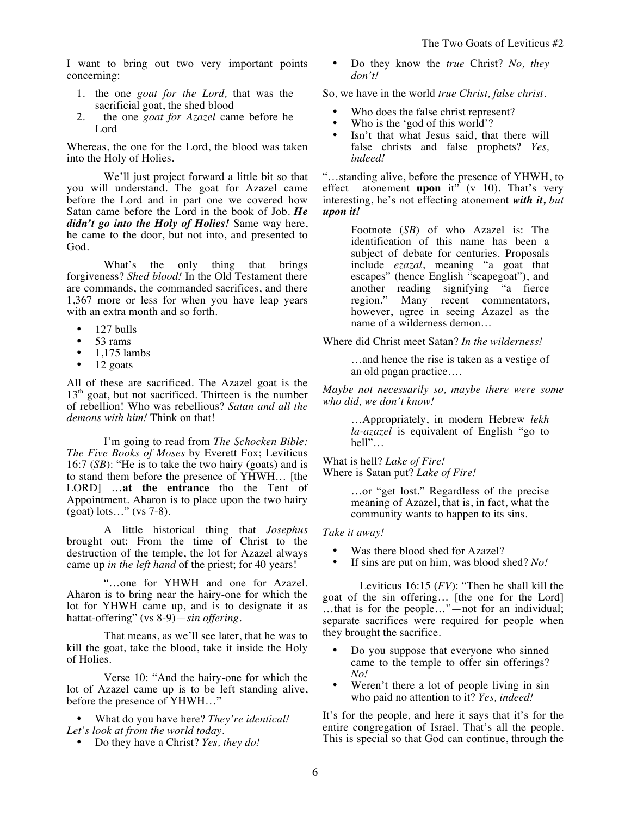I want to bring out two very important points concerning:

- 1. the one *goat for the Lord,* that was the sacrificial goat, the shed blood
- 2. the one *goat for Azazel* came before he Lord

Whereas, the one for the Lord, the blood was taken into the Holy of Holies.

We'll just project forward a little bit so that you will understand. The goat for Azazel came before the Lord and in part one we covered how Satan came before the Lord in the book of Job. *He didn't go into the Holy of Holies!* Same way here, he came to the door, but not into, and presented to God.

What's the only thing that brings forgiveness? *Shed blood!* In the Old Testament there are commands, the commanded sacrifices, and there 1,367 more or less for when you have leap years with an extra month and so forth.

- 127 bulls
- 53 rams<br>• 1.175 lap
- 1,175 lambs
- 12 goats

All of these are sacrificed. The Azazel goat is the  $13<sup>th</sup>$  goat, but not sacrificed. Thirteen is the number of rebellion! Who was rebellious? *Satan and all the demons with him!* Think on that!

I'm going to read from *The Schocken Bible: The Five Books of Moses* by Everett Fox; Leviticus 16:7 (*SB*): "He is to take the two hairy (goats) and is to stand them before the presence of YHWH… [the LORD] …**at the entrance** tho the Tent of Appointment. Aharon is to place upon the two hairy (goat) lots…" (vs 7-8).

A little historical thing that *Josephus* brought out: From the time of Christ to the destruction of the temple, the lot for Azazel always came up *in the left hand* of the priest; for 40 years!

"…one for YHWH and one for Azazel. Aharon is to bring near the hairy-one for which the lot for YHWH came up, and is to designate it as hattat-offering" (vs 8-9)—*sin offering.*

That means, as we'll see later, that he was to kill the goat, take the blood, take it inside the Holy of Holies.

Verse 10: "And the hairy-one for which the lot of Azazel came up is to be left standing alive, before the presence of YHWH…"

• What do you have here? *They're identical! Let's look at from the world today.* 

• Do they have a Christ? *Yes, they do!*

• Do they know the *true* Christ? *No, they don't!*

So, we have in the world *true Christ, false christ.* 

- Who does the false christ represent?
- Who is the 'god of this world'?
- Isn't that what Jesus said, that there will false christs and false prophets? *Yes, indeed!*

"…standing alive, before the presence of YHWH, to effect atonement **upon** it"  $(v \ 10)$ . That's very interesting, he's not effecting atonement *with it, but upon it!*

> Footnote (*SB*) of who Azazel is: The identification of this name has been a subject of debate for centuries. Proposals include *ezazal*, meaning "a goat that escapes" (hence English "scapegoat"), and another reading signifying "a fierce<br>region." Many recent commentators, Many recent commentators, however, agree in seeing Azazel as the name of a wilderness demon…

Where did Christ meet Satan? *In the wilderness!*

…and hence the rise is taken as a vestige of an old pagan practice….

*Maybe not necessarily so, maybe there were some who did, we don't know!*

> …Appropriately, in modern Hebrew *lekh la-azazel* is equivalent of English "go to hell"…

What is hell? *Lake of Fire!* Where is Satan put? *Lake of Fire!*

> …or "get lost." Regardless of the precise meaning of Azazel, that is, in fact, what the community wants to happen to its sins.

## *Take it away!*

- Was there blood shed for Azazel?
- If sins are put on him, was blood shed? *No!*

Leviticus 16:15 (*FV*): "Then he shall kill the goat of the sin offering… [the one for the Lord] …that is for the people…"—not for an individual; separate sacrifices were required for people when they brought the sacrifice.

- Do you suppose that everyone who sinned came to the temple to offer sin offerings? *No!*
- Weren't there a lot of people living in sin who paid no attention to it? *Yes, indeed!*

It's for the people, and here it says that it's for the entire congregation of Israel. That's all the people. This is special so that God can continue, through the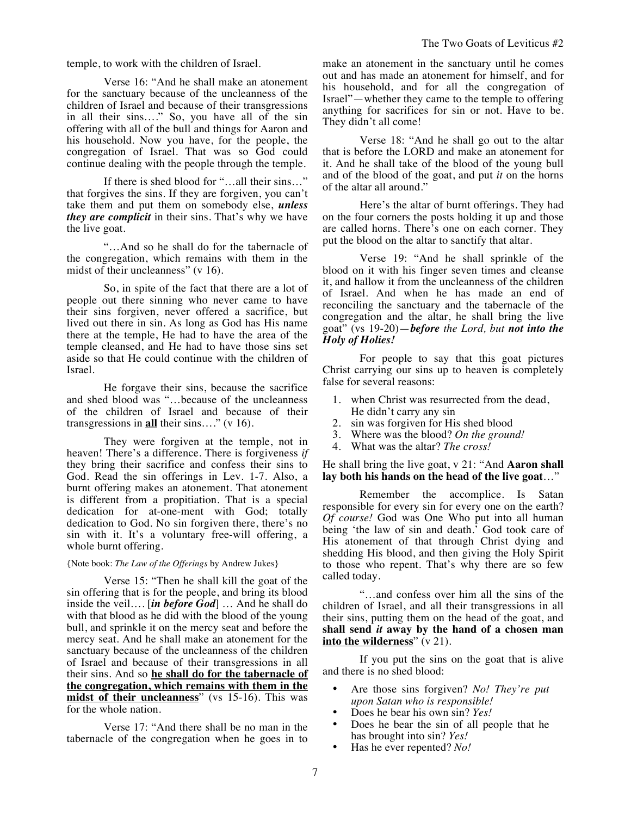temple, to work with the children of Israel.

Verse 16: "And he shall make an atonement for the sanctuary because of the uncleanness of the children of Israel and because of their transgressions in all their sins…." So, you have all of the sin offering with all of the bull and things for Aaron and his household. Now you have, for the people, the congregation of Israel. That was so God could continue dealing with the people through the temple.

If there is shed blood for "…all their sins…" that forgives the sins. If they are forgiven, you can't take them and put them on somebody else, *unless they are complicit* in their sins. That's why we have the live goat.

"…And so he shall do for the tabernacle of the congregation, which remains with them in the midst of their uncleanness" (v 16).

So, in spite of the fact that there are a lot of people out there sinning who never came to have their sins forgiven, never offered a sacrifice, but lived out there in sin. As long as God has His name there at the temple, He had to have the area of the temple cleansed, and He had to have those sins set aside so that He could continue with the children of Israel.

He forgave their sins, because the sacrifice and shed blood was "…because of the uncleanness of the children of Israel and because of their transgressions in **all** their sins…." (v 16).

They were forgiven at the temple, not in heaven! There's a difference. There is forgiveness *if* they bring their sacrifice and confess their sins to God. Read the sin offerings in Lev. 1-7. Also, a burnt offering makes an atonement. That atonement is different from a propitiation. That is a special dedication for at-one-ment with God; totally dedication to God. No sin forgiven there, there's no sin with it. It's a voluntary free-will offering, a whole burnt offering.

## {Note book: *The Law of the Offerings* by Andrew Jukes}

Verse 15: "Then he shall kill the goat of the sin offering that is for the people, and bring its blood inside the veil…. [*in before God*] … And he shall do with that blood as he did with the blood of the young bull, and sprinkle it on the mercy seat and before the mercy seat. And he shall make an atonement for the sanctuary because of the uncleanness of the children of Israel and because of their transgressions in all their sins. And so **he shall do for the tabernacle of the congregation, which remains with them in the midst of their uncleanness**" (vs 15-16). This was for the whole nation.

Verse 17: "And there shall be no man in the tabernacle of the congregation when he goes in to make an atonement in the sanctuary until he comes out and has made an atonement for himself, and for his household, and for all the congregation of Israel"—whether they came to the temple to offering anything for sacrifices for sin or not. Have to be. They didn't all come!

Verse 18: "And he shall go out to the altar that is before the LORD and make an atonement for it. And he shall take of the blood of the young bull and of the blood of the goat, and put *it* on the horns of the altar all around."

Here's the altar of burnt offerings. They had on the four corners the posts holding it up and those are called horns. There's one on each corner. They put the blood on the altar to sanctify that altar.

Verse 19: "And he shall sprinkle of the blood on it with his finger seven times and cleanse it, and hallow it from the uncleanness of the children of Israel. And when he has made an end of reconciling the sanctuary and the tabernacle of the congregation and the altar, he shall bring the live goat" (vs 19-20)—*before the Lord, but not into the Holy of Holies!*

For people to say that this goat pictures Christ carrying our sins up to heaven is completely false for several reasons:

- 1. when Christ was resurrected from the dead, He didn't carry any sin
- 2. sin was forgiven for His shed blood
- 3. Where was the blood? *On the ground!*
- 4. What was the altar? *The cross!*

He shall bring the live goat, v 21: "And **Aaron shall lay both his hands on the head of the live goat**…"

Remember the accomplice. Is Satan responsible for every sin for every one on the earth? *Of course!* God was One Who put into all human being 'the law of sin and death.' God took care of His atonement of that through Christ dying and shedding His blood, and then giving the Holy Spirit to those who repent. That's why there are so few called today.

"…and confess over him all the sins of the children of Israel, and all their transgressions in all their sins, putting them on the head of the goat, and **shall send** *it* **away by the hand of a chosen man into the wilderness**" (v 21).

If you put the sins on the goat that is alive and there is no shed blood:

- Are those sins forgiven? *No! They're put upon Satan who is responsible!*
- Does he bear his own sin? *Yes!*
- Does he bear the sin of all people that he has brought into sin? *Yes!*
- Has he ever repented? *No!*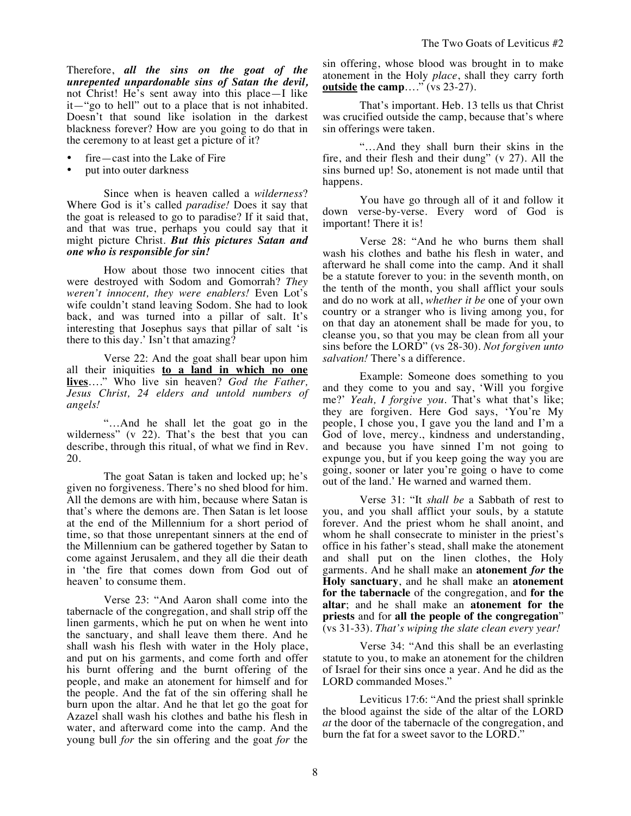Therefore, *all the sins on the goat of the unrepented unpardonable sins of Satan the devil,* not Christ! He's sent away into this place—I like it—"go to hell" out to a place that is not inhabited. Doesn't that sound like isolation in the darkest blackness forever? How are you going to do that in the ceremony to at least get a picture of it?

- fire—cast into the Lake of Fire
- put into outer darkness

Since when is heaven called a *wilderness*? Where God is it's called *paradise!* Does it say that the goat is released to go to paradise? If it said that, and that was true, perhaps you could say that it might picture Christ. *But this pictures Satan and one who is responsible for sin!*

How about those two innocent cities that were destroyed with Sodom and Gomorrah? *They weren't innocent, they were enablers!* Even Lot's wife couldn't stand leaving Sodom. She had to look back, and was turned into a pillar of salt. It's interesting that Josephus says that pillar of salt 'is there to this day.' Isn't that amazing?

Verse 22: And the goat shall bear upon him all their iniquities **to a land in which no one lives**…." Who live sin heaven? *God the Father, Jesus Christ, 24 elders and untold numbers of angels!*

"…And he shall let the goat go in the wilderness" (v 22). That's the best that you can describe, through this ritual, of what we find in Rev. 20.

The goat Satan is taken and locked up; he's given no forgiveness. There's no shed blood for him. All the demons are with him, because where Satan is that's where the demons are. Then Satan is let loose at the end of the Millennium for a short period of time, so that those unrepentant sinners at the end of the Millennium can be gathered together by Satan to come against Jerusalem, and they all die their death in 'the fire that comes down from God out of heaven' to consume them.

Verse 23: "And Aaron shall come into the tabernacle of the congregation, and shall strip off the linen garments, which he put on when he went into the sanctuary, and shall leave them there. And he shall wash his flesh with water in the Holy place, and put on his garments, and come forth and offer his burnt offering and the burnt offering of the people, and make an atonement for himself and for the people. And the fat of the sin offering shall he burn upon the altar. And he that let go the goat for Azazel shall wash his clothes and bathe his flesh in water, and afterward come into the camp. And the young bull *for* the sin offering and the goat *for* the sin offering, whose blood was brought in to make atonement in the Holy *place*, shall they carry forth **outside the camp**…." (vs 23-27).

That's important. Heb. 13 tells us that Christ was crucified outside the camp, because that's where sin offerings were taken.

"…And they shall burn their skins in the fire, and their flesh and their dung" (v 27). All the sins burned up! So, atonement is not made until that happens.

You have go through all of it and follow it down verse-by-verse. Every word of God is important! There it is!

Verse 28: "And he who burns them shall wash his clothes and bathe his flesh in water, and afterward he shall come into the camp. And it shall be a statute forever to you: in the seventh month, on the tenth of the month, you shall afflict your souls and do no work at all, *whether it be* one of your own country or a stranger who is living among you, for on that day an atonement shall be made for you, to cleanse you, so that you may be clean from all your sins before the LORD" (vs 28-30). *Not forgiven unto salvation!* There's a difference.

Example: Someone does something to you and they come to you and say, 'Will you forgive me?' *Yeah, I forgive you.* That's what that's like; they are forgiven. Here God says, 'You're My people, I chose you, I gave you the land and I'm a God of love, mercy., kindness and understanding, and because you have sinned I'm not going to expunge you, but if you keep going the way you are going, sooner or later you're going o have to come out of the land.' He warned and warned them.

Verse 31: "It *shall be* a Sabbath of rest to you, and you shall afflict your souls, by a statute forever. And the priest whom he shall anoint, and whom he shall consecrate to minister in the priest's office in his father's stead, shall make the atonement and shall put on the linen clothes, the Holy garments. And he shall make an **atonement** *for* **the Holy sanctuary**, and he shall make an **atonement for the tabernacle** of the congregation, and **for the altar**; and he shall make an **atonement for the priests** and for **all the people of the congregation**" (vs 31-33). *That's wiping the slate clean every year!*

Verse 34: "And this shall be an everlasting statute to you, to make an atonement for the children of Israel for their sins once a year. And he did as the LORD commanded Moses."

Leviticus 17:6: "And the priest shall sprinkle the blood against the side of the altar of the LORD *at* the door of the tabernacle of the congregation, and burn the fat for a sweet savor to the LORD."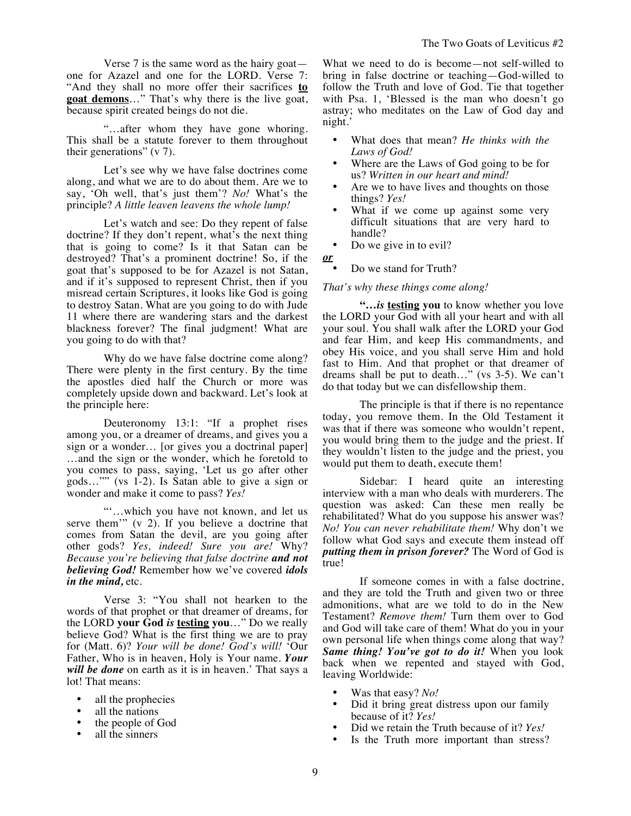Verse 7 is the same word as the hairy goat one for Azazel and one for the LORD. Verse 7: "And they shall no more offer their sacrifices **to goat demons**…" That's why there is the live goat, because spirit created beings do not die.

"…after whom they have gone whoring. This shall be a statute forever to them throughout their generations" (v 7).

Let's see why we have false doctrines come along, and what we are to do about them. Are we to say, 'Oh well, that's just them'? *No!* What's the principle? *A little leaven leavens the whole lump!*

Let's watch and see: Do they repent of false doctrine? If they don't repent, what's the next thing that is going to come? Is it that Satan can be destroyed? That's a prominent doctrine! So, if the goat that's supposed to be for Azazel is not Satan, and if it's supposed to represent Christ, then if you misread certain Scriptures, it looks like God is going to destroy Satan. What are you going to do with Jude 11 where there are wandering stars and the darkest blackness forever? The final judgment! What are you going to do with that?

Why do we have false doctrine come along? There were plenty in the first century. By the time the apostles died half the Church or more was completely upside down and backward. Let's look at the principle here:

Deuteronomy 13:1: "If a prophet rises among you, or a dreamer of dreams, and gives you a sign or a wonder… [or gives you a doctrinal paper] …and the sign or the wonder, which he foretold to you comes to pass, saying, 'Let us go after other gods…"" (vs 1-2). Is Satan able to give a sign or wonder and make it come to pass? *Yes!* 

"'…which you have not known, and let us serve them'" (v 2). If you believe a doctrine that comes from Satan the devil, are you going after other gods? *Yes, indeed! Sure you are!* Why? *Because you're believing that false doctrine and not believing God!* Remember how we've covered *idols in the mind,* etc.

Verse 3: "You shall not hearken to the words of that prophet or that dreamer of dreams, for the LORD **your God** *is* **testing you**…" Do we really believe God? What is the first thing we are to pray for (Matt. 6)? *Your will be done! God's will!* 'Our Father, Who is in heaven, Holy is Your name. *Your will be done* on earth as it is in heaven.' That says a lot! That means:

- all the prophecies
- all the nations
- the people of God
- all the sinners

What we need to do is become—not self-willed to bring in false doctrine or teaching—God-willed to follow the Truth and love of God. Tie that together with Psa. 1, 'Blessed is the man who doesn't go astray; who meditates on the Law of God day and night.'

- What does that mean? *He thinks with the Laws of God!*
- Where are the Laws of God going to be for us? *Written in our heart and mind!*
- Are we to have lives and thoughts on those things? *Yes!*
- What if we come up against some very difficult situations that are very hard to handle?
- Do we give in to evil?
- *or*
	- Do we stand for Truth?

## *That's why these things come along!*

**"…***is* **testing you** to know whether you love the LORD your God with all your heart and with all your soul. You shall walk after the LORD your God and fear Him, and keep His commandments, and obey His voice, and you shall serve Him and hold fast to Him. And that prophet or that dreamer of dreams shall be put to death…" (vs 3-5). We can't do that today but we can disfellowship them.

The principle is that if there is no repentance today, you remove them. In the Old Testament it was that if there was someone who wouldn't repent, you would bring them to the judge and the priest. If they wouldn't listen to the judge and the priest, you would put them to death, execute them!

Sidebar: I heard quite an interesting interview with a man who deals with murderers. The question was asked: Can these men really be rehabilitated? What do you suppose his answer was? *No! You can never rehabilitate them!* Why don't we follow what God says and execute them instead off *putting them in prison forever?* The Word of God is true!

If someone comes in with a false doctrine, and they are told the Truth and given two or three admonitions, what are we told to do in the New Testament? *Remove them!* Turn them over to God and God will take care of them! What do you in your own personal life when things come along that way? *Same thing! You've got to do it!* When you look back when we repented and stayed with God, leaving Worldwide:

- Was that easy? *No!*
- Did it bring great distress upon our family because of it? *Yes!*
- Did we retain the Truth because of it? *Yes!*
- Is the Truth more important than stress?